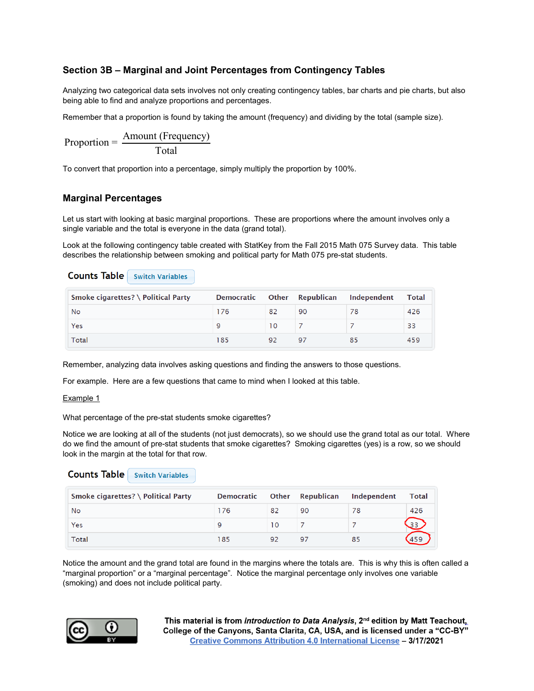# **Section 3B – Marginal and Joint Percentages from Contingency Tables**

Analyzing two categorical data sets involves not only creating contingency tables, bar charts and pie charts, but also being able to find and analyze proportions and percentages.

Remember that a proportion is found by taking the amount (frequency) and dividing by the total (sample size).

$$
Proportion = \frac{Amount (Frequency)}{Total}
$$

To convert that proportion into a percentage, simply multiply the proportion by 100%.

# **Marginal Percentages**

Let us start with looking at basic marginal proportions. These are proportions where the amount involves only a single variable and the total is everyone in the data (grand total).

Look at the following contingency table created with StatKey from the Fall 2015 Math 075 Survey data. This table describes the relationship between smoking and political party for Math 075 pre-stat students.

# **Counts Table** Switch Variables

| Smoke cigarettes? \ Political Party | <b>Democratic</b> |    | Other Republican | Independent | Total |
|-------------------------------------|-------------------|----|------------------|-------------|-------|
| No                                  | 176               | 82 | 90               |             | 426   |
| Yes                                 |                   | 10 |                  |             | 33    |
| Total                               | 185               | 92 | 97               | 85          | 459   |

Remember, analyzing data involves asking questions and finding the answers to those questions.

For example. Here are a few questions that came to mind when I looked at this table.

Example 1

What percentage of the pre-stat students smoke cigarettes?

Notice we are looking at all of the students (not just democrats), so we should use the grand total as our total. Where do we find the amount of pre-stat students that smoke cigarettes? Smoking cigarettes (yes) is a row, so we should look in the margin at the total for that row.

# **Counts Table** Switch Variables

| Smoke cigarettes? \ Political Party | Democratic |     | Other Republican | Independent | Total |
|-------------------------------------|------------|-----|------------------|-------------|-------|
| No                                  | 76         | 82  | 90               |             | 426   |
| Yes                                 |            | 1 O |                  |             |       |
| <b>Total</b>                        | 185        | 92  | 97               |             |       |

Notice the amount and the grand total are found in the margins where the totals are. This is why this is often called a "marginal proportion" or a "marginal percentage". Notice the marginal percentage only involves one variable (smoking) and does not include political party.

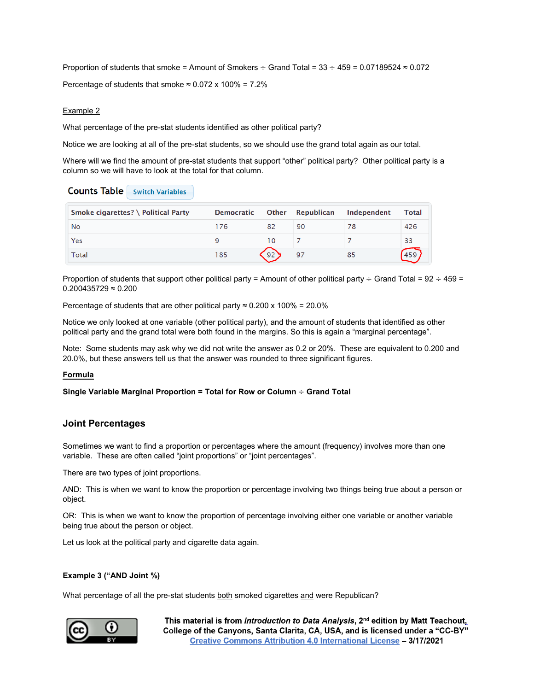Proportion of students that smoke = Amount of Smokers  $\div$  Grand Total = 33  $\div$  459 = 0.07189524  $\approx$  0.072 Percentage of students that smoke  $\approx 0.072 \times 100\% = 7.2\%$ 

## Example 2

What percentage of the pre-stat students identified as other political party?

Notice we are looking at all of the pre-stat students, so we should use the grand total again as our total.

Where will we find the amount of pre-stat students that support "other" political party? Other political party is a column so we will have to look at the total for that column.

| <b>Counts Table</b> Switch Variables |  |  |  |
|--------------------------------------|--|--|--|
|--------------------------------------|--|--|--|

| Smoke cigarettes? \ Political Party | <b>Democratic</b> |    | Other Republican | Independent | Total |
|-------------------------------------|-------------------|----|------------------|-------------|-------|
| No                                  | 76                | 82 | 90               | 78          | 426   |
| Yes                                 |                   | 10 |                  |             | 33    |
| Total                               | 185               | 92 | 97               | 85          |       |

Proportion of students that support other political party = Amount of other political party  $\div$  Grand Total = 92  $\div$  459 = 0.200435729 ≈ 0.200

Percentage of students that are other political party  $\approx 0.200 \times 100\% = 20.0\%$ 

Notice we only looked at one variable (other political party), and the amount of students that identified as other political party and the grand total were both found in the margins. So this is again a "marginal percentage".

Note: Some students may ask why we did not write the answer as 0.2 or 20%. These are equivalent to 0.200 and 20.0%, but these answers tell us that the answer was rounded to three significant figures.

### **Formula**

**Single Variable Marginal Proportion = Total for Row or Column** ÷ **Grand Total**

# **Joint Percentages**

Sometimes we want to find a proportion or percentages where the amount (frequency) involves more than one variable. These are often called "joint proportions" or "joint percentages".

There are two types of joint proportions.

AND: This is when we want to know the proportion or percentage involving two things being true about a person or object.

OR: This is when we want to know the proportion of percentage involving either one variable or another variable being true about the person or object.

Let us look at the political party and cigarette data again.

# **Example 3 ("AND Joint %)**

What percentage of all the pre-stat students both smoked cigarettes and were Republican?

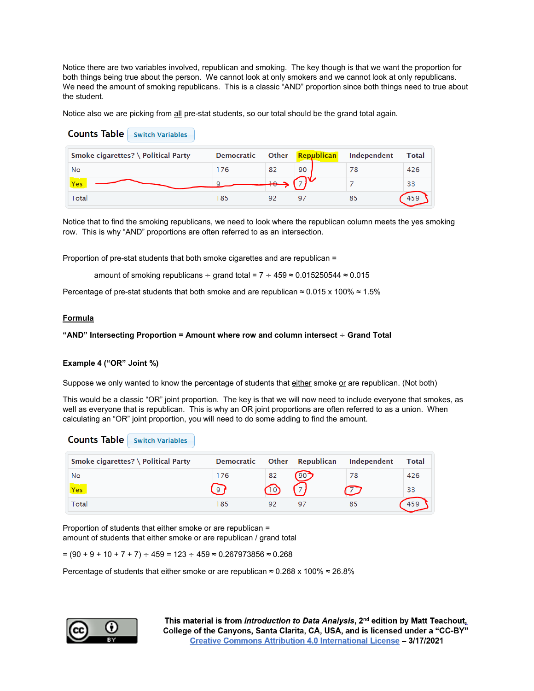Notice there are two variables involved, republican and smoking. The key though is that we want the proportion for both things being true about the person. We cannot look at only smokers and we cannot look at only republicans. We need the amount of smoking republicans. This is a classic "AND" proportion since both things need to true about the student.

Notice also we are picking from all pre-stat students, so our total should be the grand total again.

| <b>Counts Table</b><br><b>Switch Variables</b> |                   |              |            |             |              |
|------------------------------------------------|-------------------|--------------|------------|-------------|--------------|
| Smoke cigarettes? \ Political Party            | <b>Democratic</b> | <b>Other</b> | Republican | Independent | <b>Total</b> |
| No                                             | 176               | 82           | 90         | 78          | 426          |
| Yes                                            |                   | $+$          |            |             | 33           |
| <b>Total</b>                                   | 185               | 92           | 97         | 85          | 459          |

Notice that to find the smoking republicans, we need to look where the republican column meets the yes smoking row. This is why "AND" proportions are often referred to as an intersection.

Proportion of pre-stat students that both smoke cigarettes and are republican =

amount of smoking republicans  $\div$  grand total = 7  $\div$  459 ≈ 0.015250544 ≈ 0.015

Percentage of pre-stat students that both smoke and are republican  $\approx 0.015 \times 100\% \approx 1.5\%$ 

### **Formula**

#### **"AND" Intersecting Proportion = Amount where row and column intersect** ÷ **Grand Total**

#### **Example 4 ("OR" Joint %)**

Suppose we only wanted to know the percentage of students that either smoke or are republican. (Not both)

This would be a classic "OR" joint proportion. The key is that we will now need to include everyone that smokes, as well as everyone that is republican. This is why an OR joint proportions are often referred to as a union. When calculating an "OR" joint proportion, you will need to do some adding to find the amount.

| Smoke cigarettes? \ Political Party | <b>Democratic</b> |    | Other Republican | Independent | Total |
|-------------------------------------|-------------------|----|------------------|-------------|-------|
| No                                  | 176               | 82 | $190^{\bullet}$  | 78          | 426   |
| Yes                                 | 9                 | 10 |                  |             | 33    |
| Total                               | 185               | 92 | 97               | 85          |       |

Proportion of students that either smoke or are republican = amount of students that either smoke or are republican / grand total

 $=(90 + 9 + 10 + 7 + 7) ÷ 459 = 123 ÷ 459 ≈ 0.267973856 ≈ 0.268$ 

Percentage of students that either smoke or are republican  $\approx$  0.268 x 100%  $\approx$  26.8%

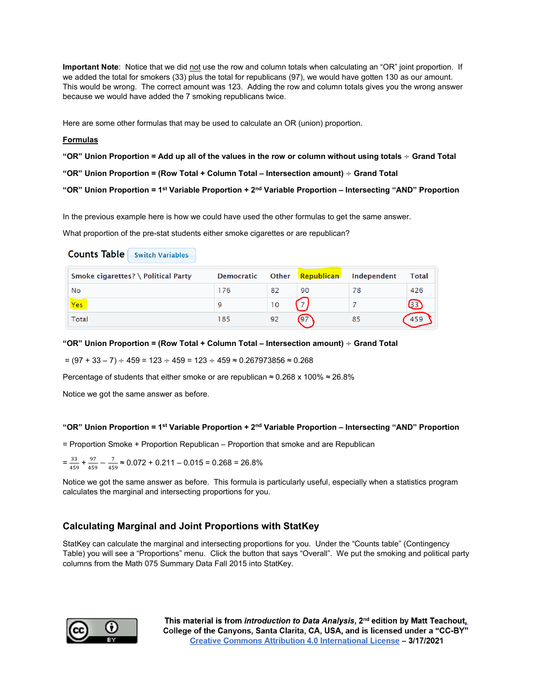**Important Note**: Notice that we did not use the row and column totals when calculating an "OR" joint proportion. If we added the total for smokers (33) plus the total for republicans (97), we would have gotten 130 as our amount. This would be wrong. The correct amount was 123. Adding the row and column totals gives you the wrong answer because we would have added the 7 smoking republicans twice.

Here are some other formulas that may be used to calculate an OR (union) proportion.

## **Formulas**

**"OR" Union Proportion = Add up all of the values in the row or column without using totals** ÷ **Grand Total**

```
"OR" Union Proportion = (Row Total + Column Total – Intersection amount) ÷ Grand Total
```

```
"OR" Union Proportion = 1st Variable Proportion + 2nd Variable Proportion – Intersecting "AND" Proportion
```
In the previous example here is how we could have used the other formulas to get the same answer.

What proportion of the pre-stat students either smoke cigarettes or are republican?

# **Counts Table** Switch Variables

| Smoke cigarettes? \ Political Party | <b>Democratic</b> |    | Other Republican | Independent | Total |
|-------------------------------------|-------------------|----|------------------|-------------|-------|
| No                                  | 76                | 82 | 90               |             | 426   |
| Yes                                 |                   | 10 |                  |             |       |
| Total                               | 185               | 92 | (97)             | 85          |       |

### **"OR" Union Proportion = (Row Total + Column Total – Intersection amount)** ÷ **Grand Total**

 $=(97 + 33 - 7) ÷ 459 = 123 ÷ 459 = 123 ÷ 459 ≈ 0.267973856 ≈ 0.268$ 

Percentage of students that either smoke or are republican  $\approx 0.268 \times 100\% \approx 26.8\%$ 

Notice we got the same answer as before.

### **"OR" Union Proportion = 1st Variable Proportion + 2nd Variable Proportion – Intersecting "AND" Proportion**

= Proportion Smoke + Proportion Republican – Proportion that smoke and are Republican

$$
=\frac{33}{459}+\frac{97}{459}-\frac{7}{459}\approx 0.072+0.211-0.015=0.268=26.8\%
$$

Notice we got the same answer as before. This formula is particularly useful, especially when a statistics program calculates the marginal and intersecting proportions for you.

# **Calculating Marginal and Joint Proportions with StatKey**

StatKey can calculate the marginal and intersecting proportions for you. Under the "Counts table" (Contingency Table) you will see a "Proportions" menu. Click the button that says "Overall". We put the smoking and political party columns from the Math 075 Summary Data Fall 2015 into StatKey.

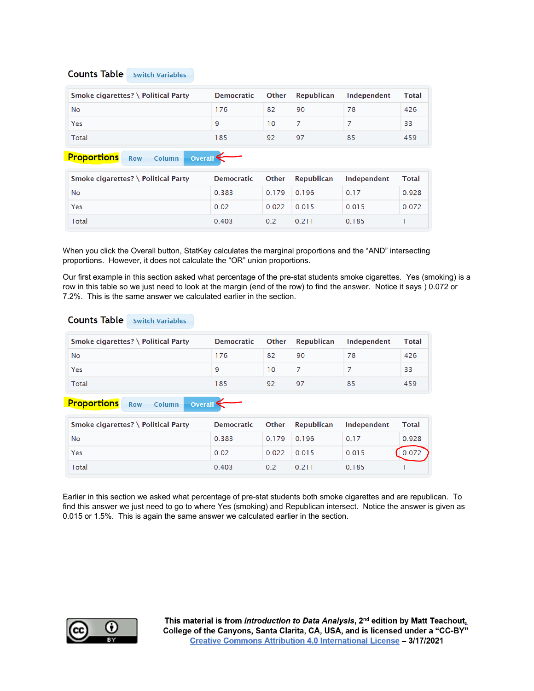# **Counts Table** Switch Variables

| Smoke cigarettes? \ Political Party | <b>Democratic</b> |     | Other Republican | Independent | Total |
|-------------------------------------|-------------------|-----|------------------|-------------|-------|
| <b>No</b>                           | 176               | 82  | 90               |             | 426   |
| Yes                                 |                   | l 0 |                  |             | 33    |
| Total                               | 185               |     | 97               | 85          | 459   |

#### **Proportions** Row Column Overall<sup></sup>

| Smoke cigarettes? \ Political Party | Democratic |             | Other Republican | Independent | Total |
|-------------------------------------|------------|-------------|------------------|-------------|-------|
| No                                  | 0.383      | 0.179 0.196 |                  | 0.17        | 0.928 |
| Yes                                 | 0.02       | 0.022       | 0.015            | 0.015       | 0.072 |
| Total                               | 0.403      | 0.2         | 0.211            | 0.185       |       |

When you click the Overall button, StatKey calculates the marginal proportions and the "AND" intersecting proportions. However, it does not calculate the "OR" union proportions.

Our first example in this section asked what percentage of the pre-stat students smoke cigarettes. Yes (smoking) is a row in this table so we just need to look at the margin (end of the row) to find the answer. Notice it says ) 0.072 or 7.2%. This is the same answer we calculated earlier in the section.

# **Counts Table** Switch Variables

| Smoke cigarettes? \ Political Party | Democratic |    | Other Republican | Independent | Total |
|-------------------------------------|------------|----|------------------|-------------|-------|
| No                                  | 176        | 82 | 90               |             | 426   |
| Yes                                 |            | 10 |                  |             | 33    |
| Total                               | 185        | 92 | 97               | 85          | 459   |

#### **Proportions** Row Column Overall<sup>4</sup>

| Smoke cigarettes? \ Political Party | <b>Democratic</b> |       | Other Republican | Independent | <b>Total</b> |
|-------------------------------------|-------------------|-------|------------------|-------------|--------------|
| No                                  | 0.383             | 0.179 | 0.196            | 0.17        | 0.928        |
| Yes                                 | 0.02              | 0.022 | 0.015            | 0.015       |              |
| Total                               | 0.403             | 0 Z   | 0.211            | 0.185       |              |

Earlier in this section we asked what percentage of pre-stat students both smoke cigarettes and are republican. To find this answer we just need to go to where Yes (smoking) and Republican intersect. Notice the answer is given as 0.015 or 1.5%. This is again the same answer we calculated earlier in the section.

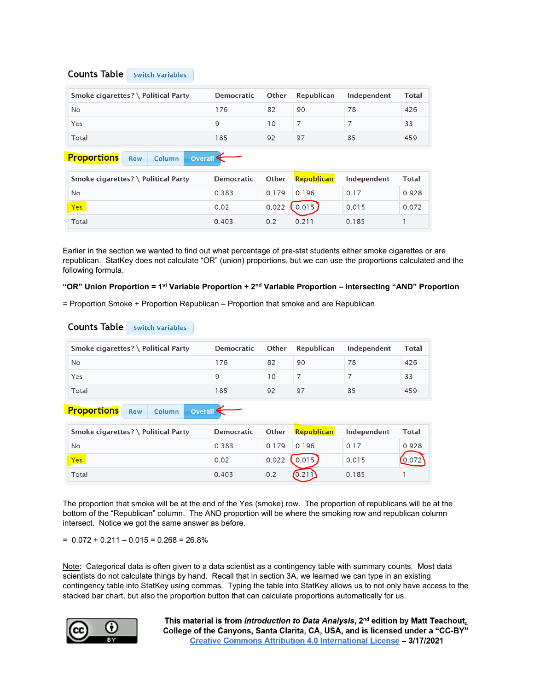# **Counts Table** Switch Variables

| Smoke cigarettes? \ Political Party | Democratic |    | Other Republican | Independent | Total |
|-------------------------------------|------------|----|------------------|-------------|-------|
| No                                  | 176        | 82 | 90               |             | 426   |
| Yes                                 |            | 10 |                  |             | 33    |
| Total                               | 185        | 92 | 97               | 85          | 459   |

#### **Proportions** Row Column Overall<sup>4</sup>

| Smoke cigarettes? \ Political Party | <b>Democratic</b> |               | Other Republican  | Independent | Total |
|-------------------------------------|-------------------|---------------|-------------------|-------------|-------|
| No                                  | 0.383             | $0.179$ 0.196 |                   | 0.17        | 0.928 |
| Yes                                 | 0.02              |               | $0.022$ $(0.015)$ | 0.015       | 0.072 |
| Total                               | 0.403             | 0.2           | 0.211             | 0.185       |       |

Earlier in the section we wanted to find out what percentage of pre-stat students either smoke cigarettes or are republican. StatKey does not calculate "OR" (union) proportions, but we can use the proportions calculated and the following formula.

## **"OR" Union Proportion = 1st Variable Proportion + 2nd Variable Proportion – Intersecting "AND" Proportion**

= Proportion Smoke + Proportion Republican – Proportion that smoke and are Republican

# **Counts Table** Switch Variables

| Smoke cigarettes? \ Political Party | Democratic |    | Other Republican | Independent | Total |
|-------------------------------------|------------|----|------------------|-------------|-------|
| <b>No</b>                           | 176        | 82 | 90               |             | 426   |
| Yes                                 |            | 10 |                  |             | 33    |
| <b>Total</b>                        | 185        | 92 | 97               |             | 459   |

#### **Proportions** Row Column Overall<sup>4</sup>

| Smoke cigarettes? \ Political Party | <b>Democratic</b> |       | Other Republican | Independent | Total |
|-------------------------------------|-------------------|-------|------------------|-------------|-------|
| No                                  | 0.383             | 0.179 | 0.196            | 0.17        | 0.928 |
| Yes                                 | 0.02              | 0.022 | (0.015)          | 0.015       |       |
| Total                               | 0.403             | 0.2   |                  | 0.185       |       |

The proportion that smoke will be at the end of the Yes (smoke) row. The proportion of republicans will be at the bottom of the "Republican" column. The AND proportion will be where the smoking row and republican column intersect. Notice we got the same answer as before.

 $= 0.072 + 0.211 - 0.015 = 0.268 = 26.8\%$ 

Note: Categorical data is often given to a data scientist as a contingency table with summary counts. Most data scientists do not calculate things by hand. Recall that in section 3A, we learned we can type in an existing contingency table into StatKey using commas. Typing the table into StatKey allows us to not only have access to the stacked bar chart, but also the proportion button that can calculate proportions automatically for us.